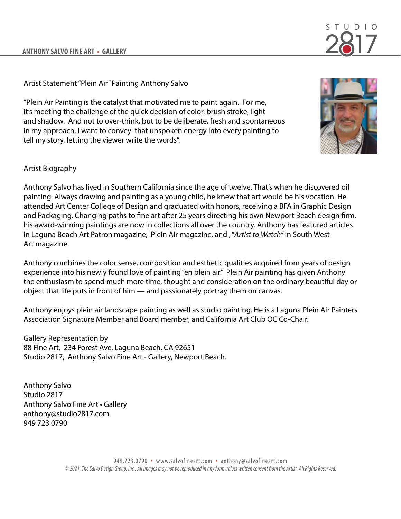## STIID.

## Artist Statement "Plein Air" Painting Anthony Salvo

"Plein Air Painting is the catalyst that motivated me to paint again. For me, it's meeting the challenge of the quick decision of color, brush stroke, light and shadow. And not to over-think, but to be deliberate, fresh and spontaneous in my approach. I want to convey that unspoken energy into every painting to tell my story, letting the viewer write the words".



## Artist Biography

Anthony Salvo has lived in Southern California since the age of twelve. That's when he discovered oil painting. Always drawing and painting as a young child, he knew that art would be his vocation. He attended Art Center College of Design and graduated with honors, receiving a BFA in Graphic Design and Packaging. Changing paths to fine art after 25 years directing his own Newport Beach design firm, his award-winning paintings are now in collections all over the country. Anthony has featured articles in Laguna Beach Art Patron magazine, Plein Air magazine, and , "*Artist to Watch"* in South West Art magazine.

Anthony combines the color sense, composition and esthetic qualities acquired from years of design experience into his newly found love of painting "en plein air." Plein Air painting has given Anthony the enthusiasm to spend much more time, thought and consideration on the ordinary beautiful day or object that life puts in front of him — and passionately portray them on canvas.

Anthony enjoys plein air landscape painting as well as studio painting. He is a Laguna Plein Air Painters Association Signature Member and Board member, and California Art Club OC Co-Chair.

Gallery Representation by 88 Fine Art, 234 Forest Ave, Laguna Beach, CA 92651 Studio 2817, Anthony Salvo Fine Art - Gallery, Newport Beach.

Anthony Salvo Studio 2817 Anthony Salvo Fine Art • Gallery anthony@studio2817.com 949 723 0790